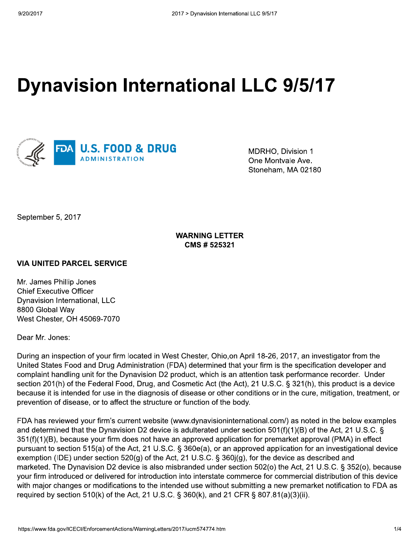# **Dynavision International LLC 9/5/17**



MDRHO, Division 1 One Montvale Ave. Stoneham, MA 02180

September 5, 2017

# **WARNING LETTER** CMS # 525321

## **VIA UNITED PARCEL SERVICE**

Mr. James Phillip Jones **Chief Executive Officer** Dynavision International, LLC 8800 Global Way West Chester, OH 45069-7070

#### Dear Mr. Jones:

During an inspection of your firm located in West Chester, Ohio, on April 18-26, 2017, an investigator from the United States Food and Drug Administration (FDA) determined that your firm is the specification developer and complaint handling unit for the Dynavision D2 product, which is an attention task performance recorder. Under section 201(h) of the Federal Food, Drug, and Cosmetic Act (the Act), 21 U.S.C. § 321(h), this product is a device because it is intended for use in the diagnosis of disease or other conditions or in the cure, mitigation, treatment, or prevention of disease, or to affect the structure or function of the body.

FDA has reviewed your firm's current website (www.dynavisioninternational.com/) as noted in the below examples and determined that the Dynavision D2 device is adulterated under section 501(f)(1)(B) of the Act, 21 U.S.C. § 351(f)(1)(B), because your firm does not have an approved application for premarket approval (PMA) in effect pursuant to section 515(a) of the Act, 21 U.S.C. § 360e(a), or an approved application for an investigational device exemption (IDE) under section 520(g) of the Act, 21 U.S.C. § 360j(g), for the device as described and marketed. The Dynavision D2 device is also misbranded under section 502(o) the Act, 21 U.S.C. § 352(o), because your firm introduced or delivered for introduction into interstate commerce for commercial distribution of this device with major changes or modifications to the intended use without submitting a new premarket notification to FDA as required by section 510(k) of the Act, 21 U.S.C. § 360(k), and 21 CFR § 807.81(a)(3)(ii).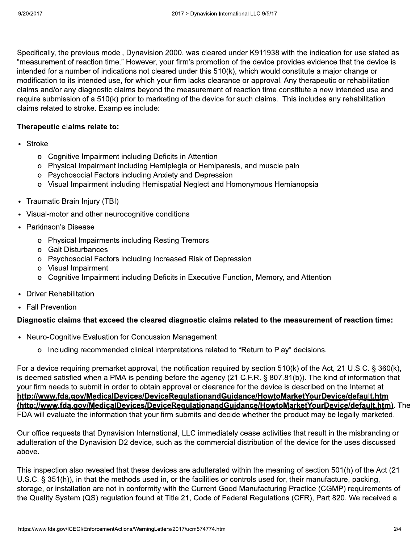Specifically, the previous model, Dynavision 2000, was cleared under K911938 with the indication for use stated as "measurement of reaction time." However, your firm's promotion of the device provides evidence that the device is intended for a number of indications not cleared under this 510(k), which would constitute a major change or modification to its intended use, for which your firm lacks clearance or approval. Any therapeutic or rehabilitation claims and/or any diagnostic claims beyond the measurement of reaction time constitute a new intended use and require submission of a 510(k) prior to marketing of the device for such claims. This includes any rehabilitation claims related to stroke. Examples include:

## Therapeutic claims relate to:

- Stroke
	- o Cognitive Impairment including Deficits in Attention
	- o Physical Impairment including Hemiplegia or Hemiparesis, and muscle pain
	- o Psychosocial Factors including Anxiety and Depression
	- o Visual Impairment including Hemispatial Neglect and Homonymous Hemianopsia
- Traumatic Brain Injury (TBI)
- Visual-motor and other neurocognitive conditions
- Parkinson's Disease
	- o Physical Impairments including Resting Tremors
	- o Gait Disturbances
	- o Psychosocial Factors including Increased Risk of Depression
	- o Visual Impairment
	- o Cognitive Impairment including Deficits in Executive Function, Memory, and Attention
- Driver Rehabilitation
- Fall Prevention

## Diagnostic claims that exceed the cleared diagnostic claims related to the measurement of reaction time:

- Neuro-Cognitive Evaluation for Concussion Management
	- o Including recommended clinical interpretations related to "Return to Play" decisions.

For a device requiring premarket approval, the notification required by section 510(k) of the Act, 21 U.S.C. § 360(k), is deemed satisfied when a PMA is pending before the agency (21 C.F.R. § 807.81(b)). The kind of information that your firm needs to submit in order to obtain approval or clearance for the device is described on the Internet at http://www.fda.gov/MedicalDevices/DeviceRegulationandGuidance/HowtoMarketYourDevice/default.htm (http://www.fda.gov/MedicalDevices/DeviceRegulationandGuidance/HowtoMarketYourDevice/default.htm). The FDA will evaluate the information that your firm submits and decide whether the product may be legally marketed.

Our office requests that Dynavision International, LLC immediately cease activities that result in the misbranding or adulteration of the Dynavision D2 device, such as the commercial distribution of the device for the uses discussed above.

This inspection also revealed that these devices are adulterated within the meaning of section 501(h) of the Act (21 U.S.C. § 351(h)), in that the methods used in, or the facilities or controls used for, their manufacture, packing, storage, or installation are not in conformity with the Current Good Manufacturing Practice (CGMP) requirements of the Quality System (QS) regulation found at Title 21, Code of Federal Regulations (CFR), Part 820. We received a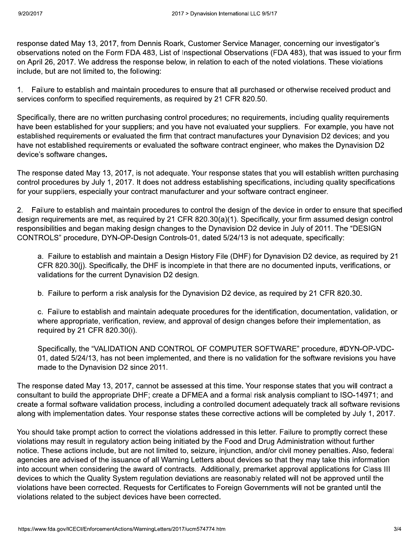response dated May 13, 2017, from Dennis Roark, Customer Service Manager, concerning our investigator's observations noted on the Form FDA 483, List of Inspectional Observations (FDA 483), that was issued to your firm on April 26, 2017. We address the response below, in relation to each of the noted violations. These violations include, but are not limited to, the following:

1. Failure to establish and maintain procedures to ensure that all purchased or otherwise received product and services conform to specified requirements, as required by 21 CFR 820.50.

Specifically, there are no written purchasing control procedures; no requirements, including quality requirements have been established for your suppliers; and you have not evaluated your suppliers. For example, you have not established requirements or evaluated the firm that contract manufactures your Dynavision D2 devices; and you have not established requirements or evaluated the software contract engineer, who makes the Dynavision D2 device's software changes.

The response dated May 13, 2017, is not adequate. Your response states that you will establish written purchasing control procedures by July 1, 2017. It does not address establishing specifications, including quality specifications for your suppliers, especially your contract manufacturer and your software contract engineer.

2. Failure to establish and maintain procedures to control the design of the device in order to ensure that specified design requirements are met, as required by 21 CFR 820.30(a)(1). Specifically, your firm assumed design control responsibilities and began making design changes to the Dynavision D2 device in July of 2011. The "DESIGN CONTROLS" procedure, DYN-OP-Design Controls-01, dated 5/24/13 is not adequate, specifically:

a. Failure to establish and maintain a Design History File (DHF) for Dynavision D2 device, as required by 21 CFR 820.30(i). Specifically, the DHF is incomplete in that there are no documented inputs, verifications, or validations for the current Dynavision D2 design.

b. Failure to perform a risk analysis for the Dynavision D2 device, as required by 21 CFR 820.30.

c. Failure to establish and maintain adequate procedures for the identification, documentation, validation, or where appropriate, verification, review, and approval of design changes before their implementation, as required by 21 CFR 820.30(i).

Specifically, the "VALIDATION AND CONTROL OF COMPUTER SOFTWARE" procedure, #DYN-OP-VDC-01, dated 5/24/13, has not been implemented, and there is no validation for the software revisions you have made to the Dynavision D2 since 2011.

The response dated May 13, 2017, cannot be assessed at this time. Your response states that you will contract a consultant to build the appropriate DHF; create a DFMEA and a formal risk analysis compliant to ISO-14971; and create a formal software validation process, including a controlled document adequately track all software revisions along with implementation dates. Your response states these corrective actions will be completed by July 1, 2017.

You should take prompt action to correct the violations addressed in this letter. Failure to promptly correct these violations may result in regulatory action being initiated by the Food and Drug Administration without further notice. These actions include, but are not limited to, seizure, injunction, and/or civil money penalties. Also, federal agencies are advised of the issuance of all Warning Letters about devices so that they may take this information into account when considering the award of contracts. Additionally, premarket approval applications for Class III devices to which the Quality System regulation deviations are reasonably related will not be approved until the violations have been corrected. Requests for Certificates to Foreign Governments will not be granted until the violations related to the subject devices have been corrected.